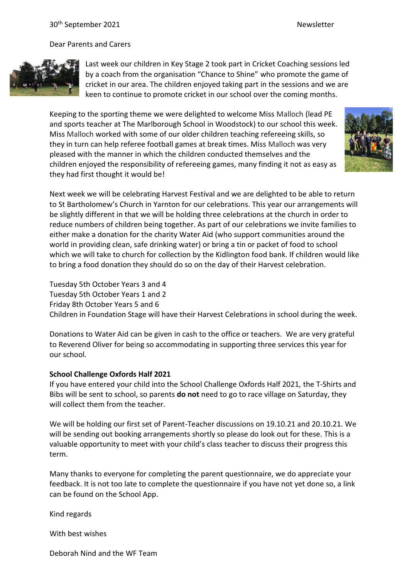Dear Parents and Carers



Last week our children in Key Stage 2 took part in Cricket Coaching sessions led by a coach from the organisation "Chance to Shine" who promote the game of cricket in our area. The children enjoyed taking part in the sessions and we are keen to continue to promote cricket in our school over the coming months.

Keeping to the sporting theme we were delighted to welcome Miss Malloch (lead PE and sports teacher at The Marlborough School in Woodstock) to our school this week. Miss Malloch worked with some of our older children teaching refereeing skills, so they in turn can help referee football games at break times. Miss Malloch was very pleased with the manner in which the children conducted themselves and the children enjoyed the responsibility of refereeing games, many finding it not as easy as they had first thought it would be!



Next week we will be celebrating Harvest Festival and we are delighted to be able to return to St Bartholomew's Church in Yarnton for our celebrations. This year our arrangements will be slightly different in that we will be holding three celebrations at the church in order to reduce numbers of children being together. As part of our celebrations we invite families to either make a donation for the charity Water Aid (who support communities around the world in providing clean, safe drinking water) or bring a tin or packet of food to school which we will take to church for collection by the Kidlington food bank. If children would like to bring a food donation they should do so on the day of their Harvest celebration.

Tuesday 5th October Years 3 and 4 Tuesday 5th October Years 1 and 2 Friday 8th October Years 5 and 6 Children in Foundation Stage will have their Harvest Celebrations in school during the week.

Donations to Water Aid can be given in cash to the office or teachers. We are very grateful to Reverend Oliver for being so accommodating in supporting three services this year for our school.

## **School Challenge Oxfords Half 2021**

If you have entered your child into the School Challenge Oxfords Half 2021, the T-Shirts and Bibs will be sent to school, so parents **do not** need to go to race village on Saturday, they will collect them from the teacher.

We will be holding our first set of Parent-Teacher discussions on 19.10.21 and 20.10.21. We will be sending out booking arrangements shortly so please do look out for these. This is a valuable opportunity to meet with your child's class teacher to discuss their progress this term.

Many thanks to everyone for completing the parent questionnaire, we do appreciate your feedback. It is not too late to complete the questionnaire if you have not yet done so, a link can be found on the School App.

Kind regards

With best wishes

Deborah Nind and the WF Team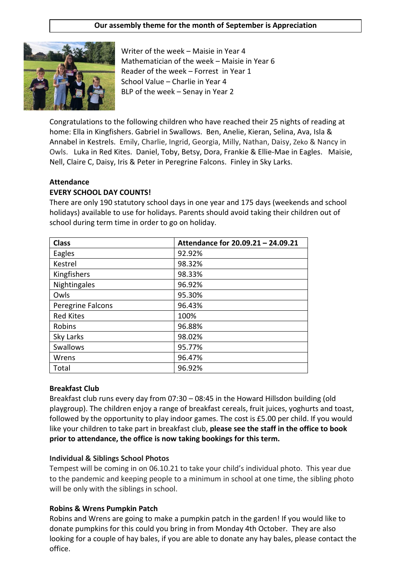### **Our assembly theme for the month of September is Appreciation**



Writer of the week – Maisie in Year 4 Mathematician of the week – Maisie in Year 6 Reader of the week – Forrest in Year 1 School Value – Charlie in Year 4 BLP of the week – Senay in Year 2

Congratulations to the following children who have reached their 25 nights of reading at home: Ella in Kingfishers. Gabriel in Swallows. Ben, Anelie, Kieran, Selina, Ava, Isla & Annabel in Kestrels. Emily, Charlie, Ingrid, Georgia, Milly, Nathan, Daisy, Zeko & Nancy in Owls. Luka in Red Kites. Daniel, Toby, Betsy, Dora, Frankie & Ellie-Mae in Eagles. Maisie, Nell, Claire C, Daisy, Iris & Peter in Peregrine Falcons. Finley in Sky Larks.

#### **Attendance EVERY SCHOOL DAY COUNTS!**

There are only 190 statutory school days in one year and 175 days (weekends and school holidays) available to use for holidays. Parents should avoid taking their children out of school during term time in order to go on holiday.

| <b>Class</b>      | Attendance for 20.09.21 - 24.09.21 |
|-------------------|------------------------------------|
| Eagles            | 92.92%                             |
| Kestrel           | 98.32%                             |
| Kingfishers       | 98.33%                             |
| Nightingales      | 96.92%                             |
| Owls              | 95.30%                             |
| Peregrine Falcons | 96.43%                             |
| <b>Red Kites</b>  | 100%                               |
| Robins            | 96.88%                             |
| Sky Larks         | 98.02%                             |
| Swallows          | 95.77%                             |
| Wrens             | 96.47%                             |
| Total             | 96.92%                             |

### **Breakfast Club**

Breakfast club runs every day from 07:30 – 08:45 in the Howard Hillsdon building (old playgroup). The children enjoy a range of breakfast cereals, fruit juices, yoghurts and toast, followed by the opportunity to play indoor games. The cost is £5.00 per child. If you would like your children to take part in breakfast club, **please see the staff in the office to book prior to attendance, the office is now taking bookings for this term.**

### **Individual & Siblings School Photos**

Tempest will be coming in on 06.10.21 to take your child's individual photo. This year due to the pandemic and keeping people to a minimum in school at one time, the sibling photo will be only with the siblings in school.

### **Robins & Wrens Pumpkin Patch**

Robins and Wrens are going to make a pumpkin patch in the garden! If you would like to donate pumpkins for this could you bring in from Monday 4th October. They are also looking for a couple of hay bales, if you are able to donate any hay bales, please contact the office.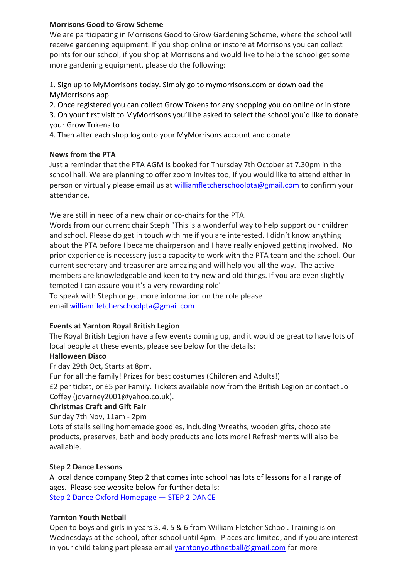## **Morrisons Good to Grow Scheme**

We are participating in Morrisons Good to Grow Gardening Scheme, where the school will receive gardening equipment. If you shop online or instore at Morrisons you can collect points for our school, if you shop at Morrisons and would like to help the school get some more gardening equipment, please do the following:

1. Sign up to MyMorrisons today. Simply go to mymorrisons.com or download the MyMorrisons app

2. Once registered you can collect Grow Tokens for any shopping you do online or in store

3. On your first visit to MyMorrisons you'll be asked to select the school you'd like to donate your Grow Tokens to

4. Then after each shop log onto your MyMorrisons account and donate

## **News from the PTA**

Just a reminder that the PTA AGM is booked for Thursday 7th October at 7.30pm in the school hall. We are planning to offer zoom invites too, if you would like to attend either in person or virtually please email us at [williamfletcherschoolpta@gmail.com](mailto:williamfletcherschoolpta@gmail.com) to confirm your attendance.

We are still in need of a new chair or co-chairs for the PTA.

Words from our current chair Steph "This is a wonderful way to help support our children and school. Please do get in touch with me if you are interested. I didn't know anything about the PTA before I became chairperson and I have really enjoyed getting involved. No prior experience is necessary just a capacity to work with the PTA team and the school. Our current secretary and treasurer are amazing and will help you all the way. The active members are knowledgeable and keen to try new and old things. If you are even slightly tempted I can assure you it's a very rewarding role"

To speak with Steph or get more information on the role please email [williamfletcherschoolpta@gmail.com](mailto:williamfletcherschoolpta@gmail.com)

# **Events at Yarnton Royal British Legion**

The Royal British Legion have a few events coming up, and it would be great to have lots of local people at these events, please see below for the details:

# **Halloween Disco**

Friday 29th Oct, Starts at 8pm.

Fun for all the family! Prizes for best costumes (Children and Adults!)

£2 per ticket, or £5 per Family. Tickets available now from the British Legion or contact Jo Coffey (jovarney2001@yahoo.co.uk).

## **Christmas Craft and Gift Fair**

Sunday 7th Nov, 11am - 2pm

Lots of stalls selling homemade goodies, including Wreaths, wooden gifts, chocolate products, preserves, bath and body products and lots more! Refreshments will also be available.

## **Step 2 Dance Lessons**

A local dance company Step 2 that comes into school has lots of lessons for all range of ages. Please see website below for further details: [Step 2 Dance Oxford Homepage](https://www.step2dance.co.uk/home) — STEP 2 DANCE

## **Yarnton Youth Netball**

Open to boys and girls in years 3, 4, 5 & 6 from William Fletcher School. Training is on Wednesdays at the school, after school until 4pm. Places are limited, and if you are interest in your child taking part please email [yarntonyouthnetball@gmail.com](mailto:yarntonyouthnetball@gmail.com) for more